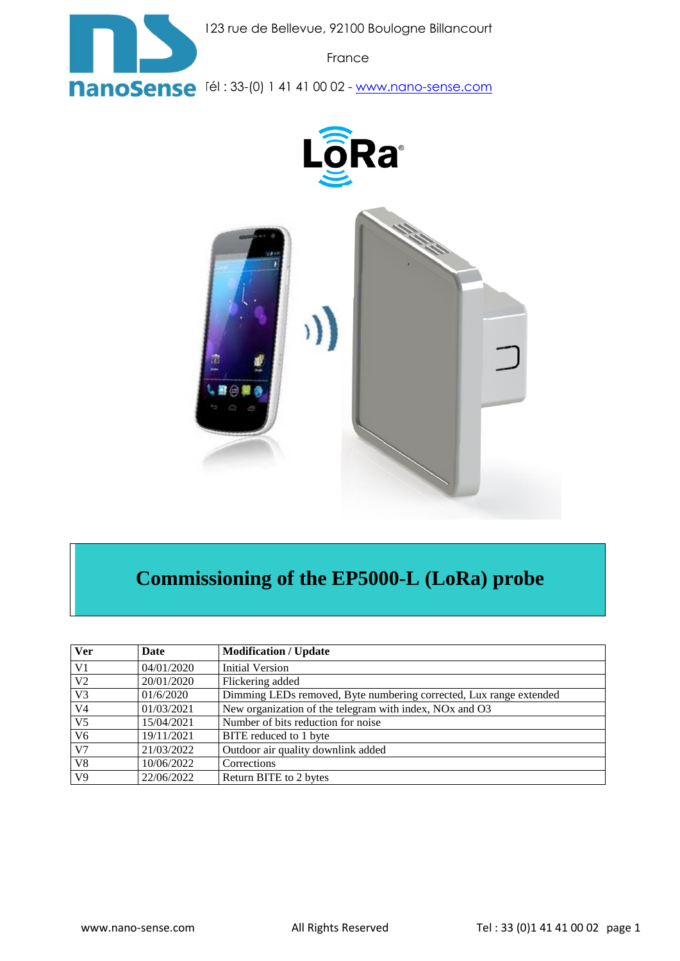

123 rue de Bellevue, 92100 Boulogne Billancourt

France

**NanoSense** [61 : 33-(0) 1 41 41 00 02 - [www.nano-sense.com](http://www.nano-sense.com/)





# **Commissioning of the EP5000-L (LoRa) probe**

| <b>Ver</b>      | Date       | <b>Modification / Update</b>                                                    |
|-----------------|------------|---------------------------------------------------------------------------------|
| V <sub>1</sub>  | 04/01/2020 | <b>Initial Version</b>                                                          |
| V <sub>2</sub>  | 20/01/2020 | Flickering added                                                                |
| V <sub>3</sub>  | 01/6/2020  | Dimming LEDs removed, Byte numbering corrected, Lux range extended              |
| V <sub>4</sub>  | 01/03/2021 | New organization of the telegram with index, NO <sub>x</sub> and O <sub>3</sub> |
| $\overline{V5}$ | 15/04/2021 | Number of bits reduction for noise                                              |
| V <sub>6</sub>  | 19/11/2021 | BITE reduced to 1 byte                                                          |
| $\overline{V7}$ | 21/03/2022 | Outdoor air quality downlink added                                              |
| $\overline{V8}$ | 10/06/2022 | Corrections                                                                     |
| V <sub>9</sub>  | 22/06/2022 | Return BITE to 2 bytes                                                          |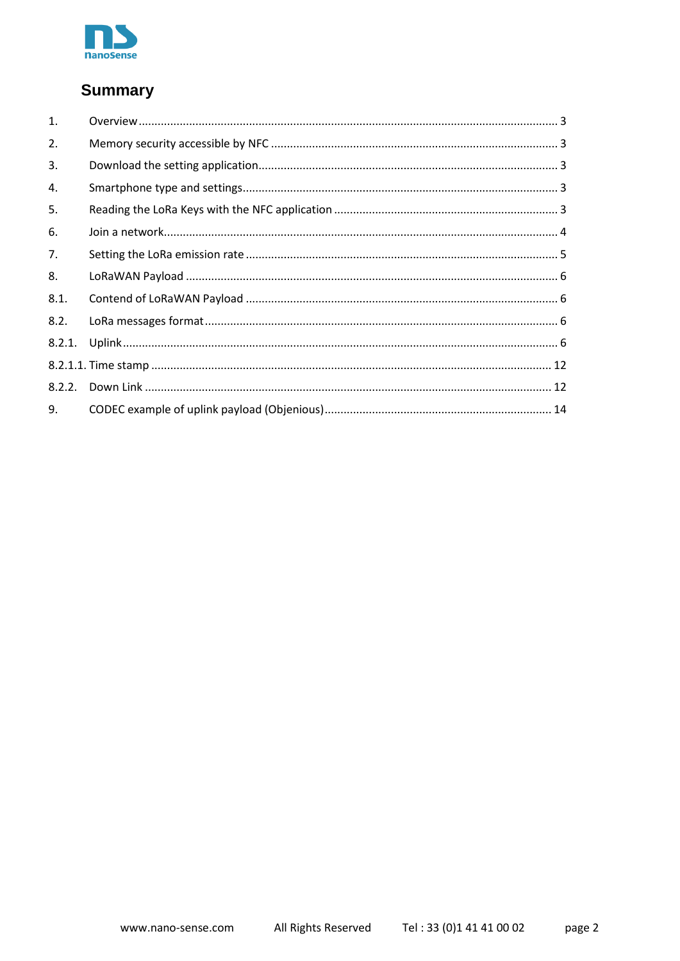

### **Summary**

| 1.   |  |
|------|--|
| 2.   |  |
| 3.   |  |
| 4.   |  |
| 5.   |  |
| 6.   |  |
| 7.   |  |
| 8.   |  |
| 8.1. |  |
| 8.2. |  |
|      |  |
|      |  |
|      |  |
| 9.   |  |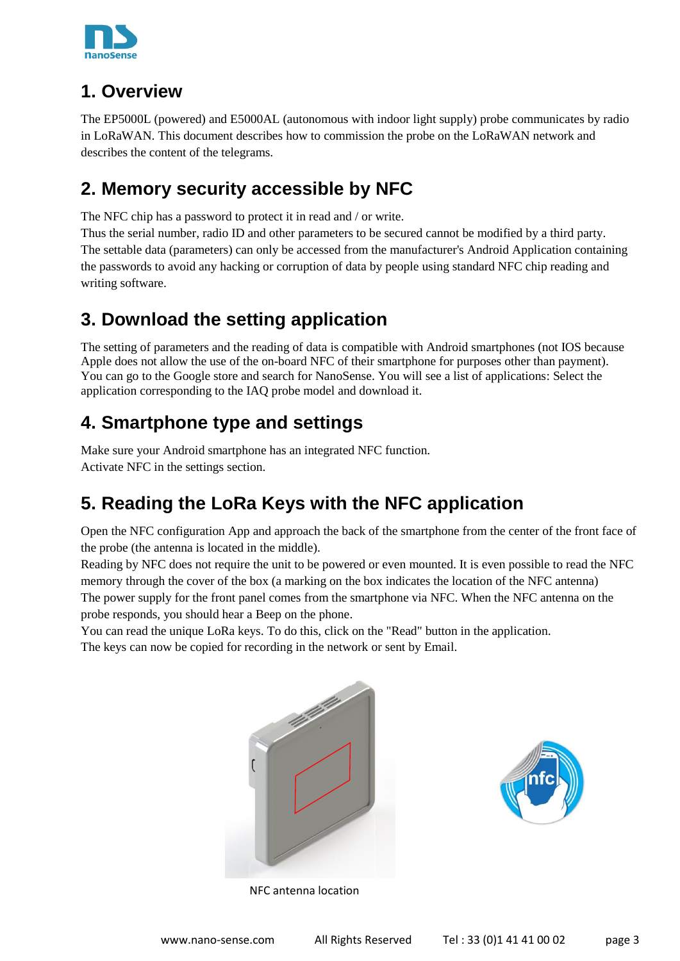

### <span id="page-2-0"></span>**1. Overview**

The EP5000L (powered) and E5000AL (autonomous with indoor light supply) probe communicates by radio in LoRaWAN. This document describes how to commission the probe on the LoRaWAN network and describes the content of the telegrams.

### <span id="page-2-1"></span>**2. Memory security accessible by NFC**

The NFC chip has a password to protect it in read and / or write.

Thus the serial number, radio ID and other parameters to be secured cannot be modified by a third party. The settable data (parameters) can only be accessed from the manufacturer's Android Application containing the passwords to avoid any hacking or corruption of data by people using standard NFC chip reading and writing software.

# <span id="page-2-2"></span>**3. Download the setting application**

The setting of parameters and the reading of data is compatible with Android smartphones (not IOS because Apple does not allow the use of the on-board NFC of their smartphone for purposes other than payment). You can go to the Google store and search for NanoSense. You will see a list of applications: Select the application corresponding to the IAQ probe model and download it.

## <span id="page-2-3"></span>**4. Smartphone type and settings**

Make sure your Android smartphone has an integrated NFC function. Activate NFC in the settings section.

# <span id="page-2-4"></span>**5. Reading the LoRa Keys with the NFC application**

Open the NFC configuration App and approach the back of the smartphone from the center of the front face of the probe (the antenna is located in the middle).

Reading by NFC does not require the unit to be powered or even mounted. It is even possible to read the NFC memory through the cover of the box (a marking on the box indicates the location of the NFC antenna) The power supply for the front panel comes from the smartphone via NFC. When the NFC antenna on the probe responds, you should hear a Beep on the phone.

You can read the unique LoRa keys. To do this, click on the "Read" button in the application.

The keys can now be copied for recording in the network or sent by Email.





NFC antenna location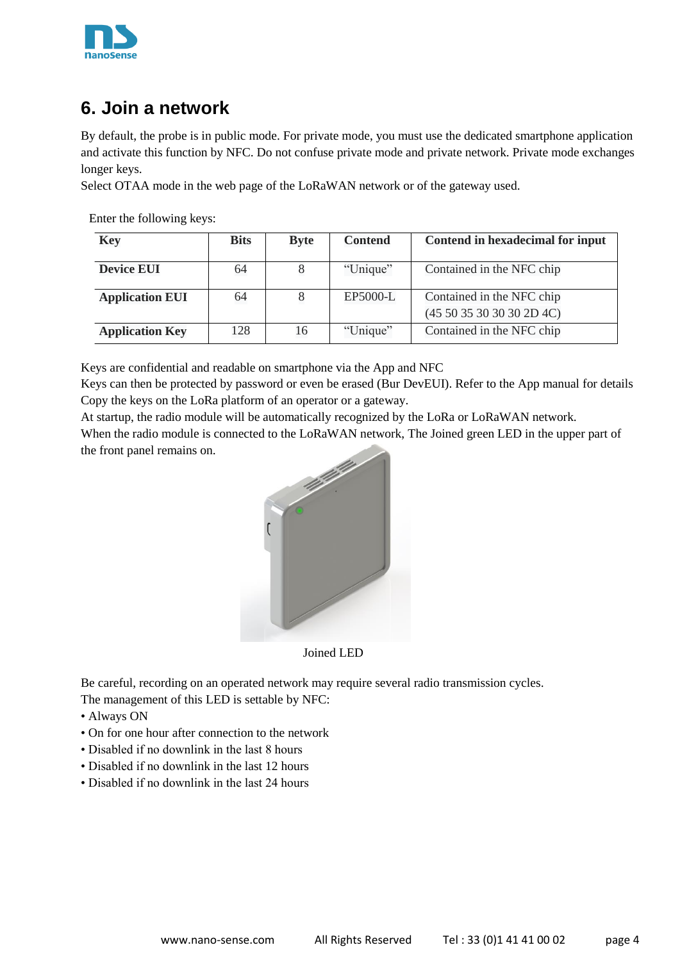

### <span id="page-3-0"></span>**6. Join a network**

By default, the probe is in public mode. For private mode, you must use the dedicated smartphone application and activate this function by NFC. Do not confuse private mode and private network. Private mode exchanges longer keys.

Select OTAA mode in the web page of the LoRaWAN network or of the gateway used.

Enter the following keys:

| <b>Key</b>             | <b>Bits</b> | <b>Byte</b> | <b>Contend</b> | Contend in hexadecimal for input |
|------------------------|-------------|-------------|----------------|----------------------------------|
| <b>Device EUI</b>      | 64          |             | "Unique"       | Contained in the NFC chip        |
| <b>Application EUI</b> | 64          |             | EP5000-L       | Contained in the NFC chip        |
|                        |             |             |                | (4550353030302D4C)               |
| <b>Application Key</b> | 128         | 16          | "Unique"       | Contained in the NFC chip        |

Keys are confidential and readable on smartphone via the App and NFC

Keys can then be protected by password or even be erased (Bur DevEUI). Refer to the App manual for details Copy the keys on the LoRa platform of an operator or a gateway.

At startup, the radio module will be automatically recognized by the LoRa or LoRaWAN network.

When the radio module is connected to the LoRaWAN network, The Joined green LED in the upper part of the front panel remains on.



Joined LED

Be careful, recording on an operated network may require several radio transmission cycles.

The management of this LED is settable by NFC:

- Always ON
- On for one hour after connection to the network
- Disabled if no downlink in the last 8 hours
- Disabled if no downlink in the last 12 hours
- Disabled if no downlink in the last 24 hours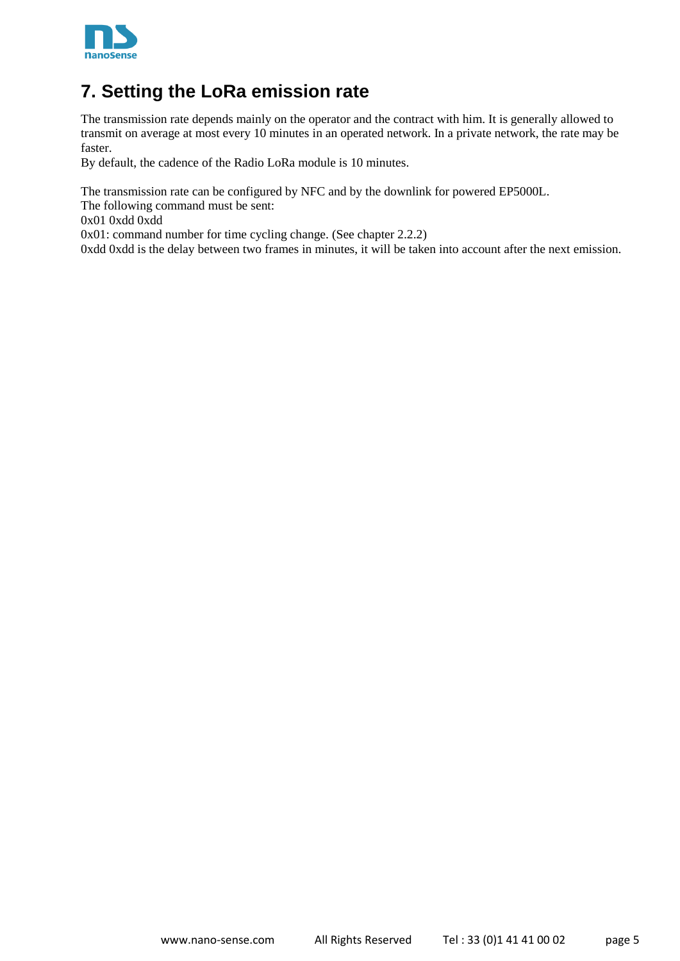

### <span id="page-4-0"></span>**7. Setting the LoRa emission rate**

The transmission rate depends mainly on the operator and the contract with him. It is generally allowed to transmit on average at most every 10 minutes in an operated network. In a private network, the rate may be faster.

By default, the cadence of the Radio LoRa module is 10 minutes.

The transmission rate can be configured by NFC and by the downlink for powered EP5000L.

The following command must be sent:

0x01 0xdd 0xdd

0x01: command number for time cycling change. (See chapter 2.2.2)

0xdd 0xdd is the delay between two frames in minutes, it will be taken into account after the next emission.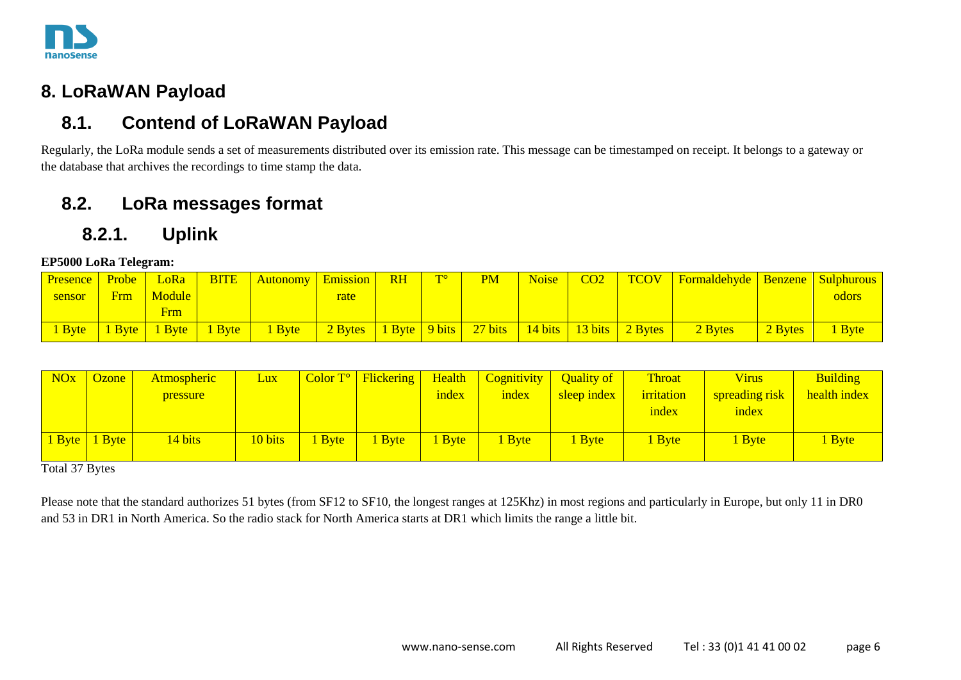

### **8. LoRaWAN Payload**

### **8.1. Contend of LoRaWAN Payload**

Regularly, the LoRa module sends a set of measurements distributed over its emission rate. This message can be timestamped on receipt. It belongs to a gateway or the database that archives the recordings to time stamp the data.

### **8.2. LoRa messages format**

### **8.2.1. Uplink**

#### **EP5000 LoRa Telegram:**

| Presence Probe LoRa |               |               | <b>BITE</b> Autonomy Emission RH                             |      | $\mathbf{T}^{\circ}$ | <b>PM</b> | Noise | CO2 | TCOV   Formaldehyde   Benzene   Sulphurous |         |              |
|---------------------|---------------|---------------|--------------------------------------------------------------|------|----------------------|-----------|-------|-----|--------------------------------------------|---------|--------------|
| sensor              |               | Frm   Module  |                                                              | rate |                      |           |       |     |                                            |         | <b>odors</b> |
|                     |               | Frm I         |                                                              |      |                      |           |       |     |                                            |         |              |
|                     | Byte   1 Byte | 1 Byte 1 Byte | 1 Byte 2 Bytes 1 Byte 9 bits 27 bits 14 bits 13 bits 2 Bytes |      |                      |           |       |     | 2 Bytes                                    | 2 Bytes | 1 Byte       |

<span id="page-5-1"></span><span id="page-5-0"></span>

| <b>NO<sub>x</sub></b> | Ozone <sup>1</sup> | <b>Atmospheric</b> | <u>Lux</u> |        | $\sqrt{\text{Color T}^{\circ}$ Flickering | Health | Cognitivity   Quality of |             | Throat     | <b>Virus</b>   | <b>Building</b> |
|-----------------------|--------------------|--------------------|------------|--------|-------------------------------------------|--------|--------------------------|-------------|------------|----------------|-----------------|
|                       |                    | pressure           |            |        |                                           | index  | index                    | sleep index | irritation | spreading risk | health index    |
|                       |                    |                    |            |        |                                           |        |                          |             | index      | index          |                 |
|                       |                    |                    |            |        |                                           |        |                          |             |            |                |                 |
|                       | 1 Byte 1 Byte      | 14 bits            | 10 bits    | 1 Byte | <b>Byte</b>                               | l Byte | 1 Byte                   | <b>Byte</b> | 1 Byte     | <b>Byte</b>    | <b>Byte</b>     |
|                       |                    |                    |            |        |                                           |        |                          |             |            |                |                 |

<span id="page-5-2"></span>Total 37 Bytes

<span id="page-5-3"></span>Please note that the standard authorizes 51 bytes (from SF12 to SF10, the longest ranges at 125Khz) in most regions and particularly in Europe, but only 11 in DR0 and 53 in DR1 in North America. So the radio stack for North America starts at DR1 which limits the range a little bit.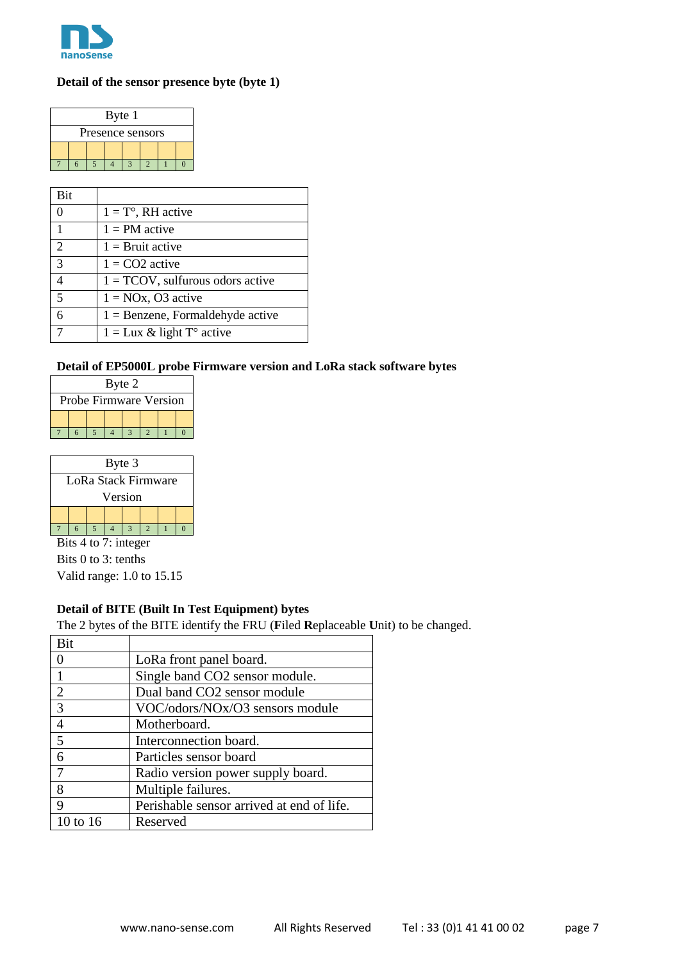

#### **Detail of the sensor presence byte (byte 1)**

|                  | Byte 1 |  |  |  |  |  |  |  |  |  |
|------------------|--------|--|--|--|--|--|--|--|--|--|
| Presence sensors |        |  |  |  |  |  |  |  |  |  |
|                  |        |  |  |  |  |  |  |  |  |  |
|                  |        |  |  |  |  |  |  |  |  |  |

| Bit            |                                     |
|----------------|-------------------------------------|
| $\Omega$       | $1 = T^{\circ}$ , RH active         |
| $\mathbf{1}$   | $1 = PM$ active                     |
| 2              | $1 =$ Bruit active                  |
| $\overline{3}$ | $1 = CO2$ active                    |
|                | $1 = TCOV$ , sulfurous odors active |
| $\overline{5}$ | $1 = NOx$ , O3 active               |
| $\overline{6}$ | $1 =$ Benzene, Formaldehyde active  |
|                | $1 = Lux \& light To active$        |

#### **Detail of EP5000L probe Firmware version and LoRa stack software bytes**

| Byte 2                 |  |  |  |  |  |  |  |  |  |
|------------------------|--|--|--|--|--|--|--|--|--|
| Probe Firmware Version |  |  |  |  |  |  |  |  |  |
|                        |  |  |  |  |  |  |  |  |  |
|                        |  |  |  |  |  |  |  |  |  |

|                     | Byte 3  |  |  |  |  |  |  |  |  |  |  |  |
|---------------------|---------|--|--|--|--|--|--|--|--|--|--|--|
| LoRa Stack Firmware |         |  |  |  |  |  |  |  |  |  |  |  |
|                     | Version |  |  |  |  |  |  |  |  |  |  |  |
|                     |         |  |  |  |  |  |  |  |  |  |  |  |
|                     |         |  |  |  |  |  |  |  |  |  |  |  |

Bits 4 to 7: integer Bits 0 to 3: tenths Valid range: 1.0 to 15.15

#### **Detail of BITE (Built In Test Equipment) bytes**

The 2 bytes of the BITE identify the FRU (**F**iled **R**eplaceable **U**nit) to be changed.

| Bit      |                                           |
|----------|-------------------------------------------|
|          | LoRa front panel board.                   |
|          | Single band CO2 sensor module.            |
| 2        | Dual band CO2 sensor module               |
| 3        | VOC/odors/NOx/O3 sensors module           |
|          | Motherboard.                              |
| .5       | Interconnection board.                    |
| 6        | Particles sensor board                    |
|          | Radio version power supply board.         |
| 8        | Multiple failures.                        |
| 9        | Perishable sensor arrived at end of life. |
| 10 to 16 | Reserved                                  |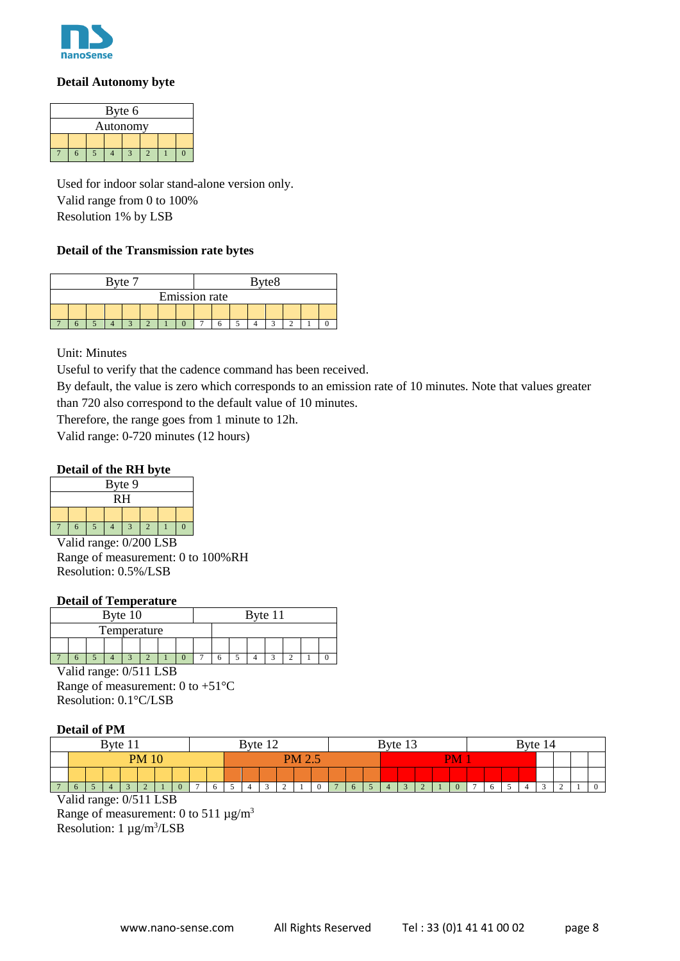

#### **Detail Autonomy byte**

| Byte 6   |  |  |  |  |  |  |  |  |  |
|----------|--|--|--|--|--|--|--|--|--|
| Autonomy |  |  |  |  |  |  |  |  |  |
|          |  |  |  |  |  |  |  |  |  |
|          |  |  |  |  |  |  |  |  |  |

Used for indoor solar stand-alone version only. Valid range from 0 to 100% Resolution 1% by LSB

#### **Detail of the Transmission rate bytes**

| Byte 7               |  |  |  |  | Byte <sub>8</sub> |  |  |  |  |  |  |  |  |  |  |
|----------------------|--|--|--|--|-------------------|--|--|--|--|--|--|--|--|--|--|
| <b>Emission</b> rate |  |  |  |  |                   |  |  |  |  |  |  |  |  |  |  |
|                      |  |  |  |  |                   |  |  |  |  |  |  |  |  |  |  |
|                      |  |  |  |  |                   |  |  |  |  |  |  |  |  |  |  |

Unit: Minutes

Useful to verify that the cadence command has been received.

By default, the value is zero which corresponds to an emission rate of 10 minutes. Note that values greater than 720 also correspond to the default value of 10 minutes.

Therefore, the range goes from 1 minute to 12h.

Valid range: 0-720 minutes (12 hours)

#### **Detail of the RH byte**

|    |  |  | Byte 9 |  |  |  |  |  |  |  |  |  |  |
|----|--|--|--------|--|--|--|--|--|--|--|--|--|--|
| RH |  |  |        |  |  |  |  |  |  |  |  |  |  |
|    |  |  |        |  |  |  |  |  |  |  |  |  |  |
|    |  |  |        |  |  |  |  |  |  |  |  |  |  |

Valid range: 0/200 LSB Range of measurement: 0 to 100%RH Resolution: 0.5%/LSB

#### **Detail of Temperature**

|  |  | Byte 10     |  |  |  | Byte 11 |  |  |
|--|--|-------------|--|--|--|---------|--|--|
|  |  | Temperature |  |  |  |         |  |  |
|  |  |             |  |  |  |         |  |  |
|  |  |             |  |  |  |         |  |  |

Valid range: 0/511 LSB Range of measurement: 0 to +51°C Resolution: 0.1°C/LSB

#### **Detail of PM**

|          |                             |  |  |  |  |  | Byte 12 |   |               |  |  | Byte $1$ . |  |    |  |  | Byte 14 |  |  |
|----------|-----------------------------|--|--|--|--|--|---------|---|---------------|--|--|------------|--|----|--|--|---------|--|--|
|          |                             |  |  |  |  |  |         |   | <b>PM 2.5</b> |  |  |            |  | PM |  |  |         |  |  |
|          | <b>Byte</b><br><b>PM 10</b> |  |  |  |  |  |         |   |               |  |  |            |  |    |  |  |         |  |  |
| $\sigma$ |                             |  |  |  |  |  |         | - |               |  |  |            |  |    |  |  |         |  |  |

Valid range: 0/511 LSB

Range of measurement: 0 to 511  $\mu$ g/m<sup>3</sup> Resolution:  $1 \mu g/m^3 / LSB$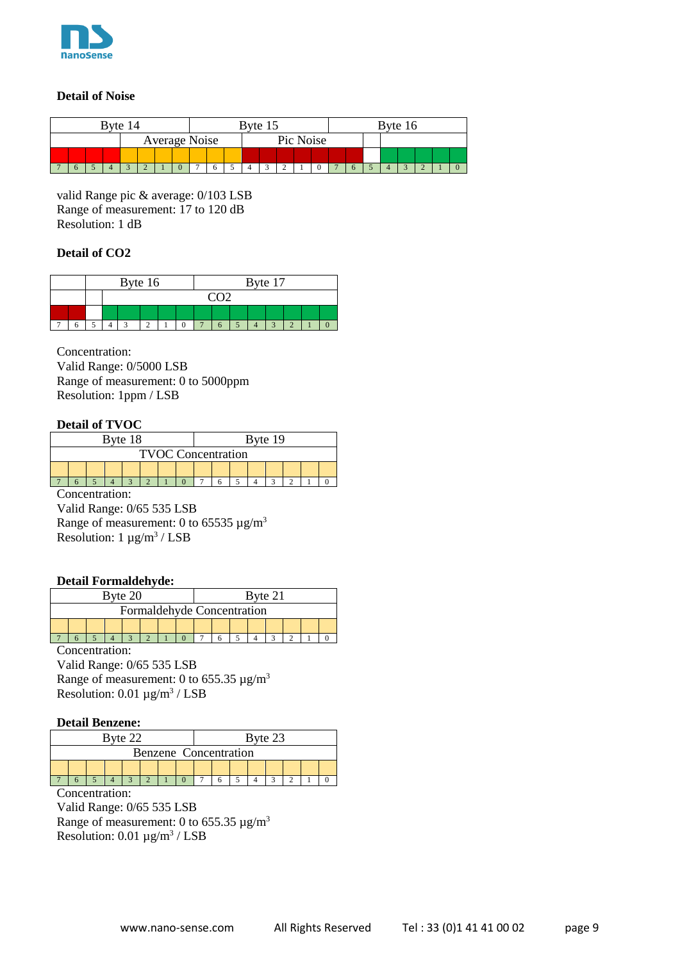

#### **Detail of Noise**

|               |  | $P$ yte $\Gamma$ |  |  |  |  |  | Byte 15 |           |  |  |  | $\frac{3}{16}$ |  |  |
|---------------|--|------------------|--|--|--|--|--|---------|-----------|--|--|--|----------------|--|--|
| Average Noise |  |                  |  |  |  |  |  |         | Pic Noise |  |  |  |                |  |  |
|               |  |                  |  |  |  |  |  |         |           |  |  |  |                |  |  |
|               |  |                  |  |  |  |  |  |         |           |  |  |  |                |  |  |

valid Range pic & average: 0/103 LSB Range of measurement: 17 to 120 dB Resolution: 1 dB

#### **Detail of CO2**

|  |  | Byte 16 |  |  |     |  | Byte 17 |  |  |
|--|--|---------|--|--|-----|--|---------|--|--|
|  |  |         |  |  | ann |  |         |  |  |
|  |  |         |  |  |     |  |         |  |  |
|  |  |         |  |  |     |  |         |  |  |

Concentration: Valid Range: 0/5000 LSB Range of measurement: 0 to 5000ppm Resolution: 1ppm / LSB

#### **Detail of TVOC**

|  |  | Byte 18 |                           |  |  | Byte 19 |  |  |
|--|--|---------|---------------------------|--|--|---------|--|--|
|  |  |         | <b>TVOC Concentration</b> |  |  |         |  |  |
|  |  |         |                           |  |  |         |  |  |
|  |  |         |                           |  |  |         |  |  |

Concentration:

Valid Range: 0/65 535 LSB Range of measurement: 0 to 65535  $\mu$ g/m<sup>3</sup> Resolution:  $1 \mu g/m^3$  / LSB

#### **Detail Formaldehyde:**

|  |  | Byte 20                    |  |  |  | Byte 21 |  |  |
|--|--|----------------------------|--|--|--|---------|--|--|
|  |  | Formaldehyde Concentration |  |  |  |         |  |  |
|  |  |                            |  |  |  |         |  |  |
|  |  |                            |  |  |  |         |  |  |

Concentration:

Valid Range: 0/65 535 LSB Range of measurement: 0 to 655.35  $\mu$ g/m<sup>3</sup> Resolution:  $0.01 \mu g/m^3$  / LSB

#### **Detail Benzene:**

|  |  | Byte 22 |  |  |                       | Byte 23 |  |  |
|--|--|---------|--|--|-----------------------|---------|--|--|
|  |  |         |  |  | Benzene Concentration |         |  |  |
|  |  |         |  |  |                       |         |  |  |
|  |  |         |  |  |                       |         |  |  |

Concentration:

Valid Range: 0/65 535 LSB Range of measurement: 0 to 655.35  $\mu$ g/m<sup>3</sup> Resolution:  $0.01 \mu g/m^3$  / LSB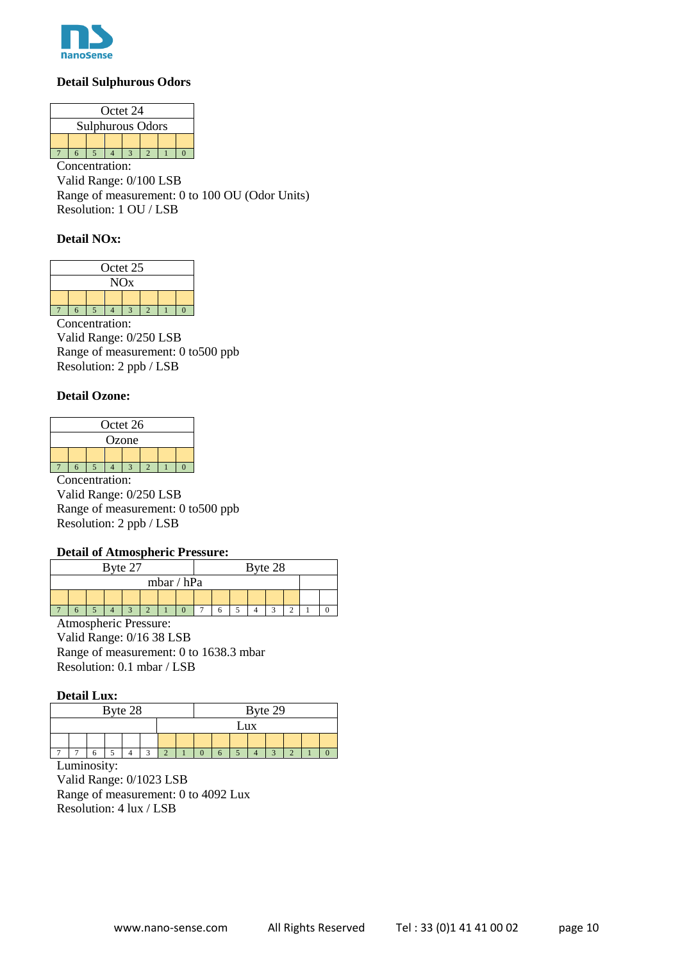

#### **Detail Sulphurous Odors**

|                         |  |  | Octet 24 |  |  |  |  |  |  |  |  |  |  |
|-------------------------|--|--|----------|--|--|--|--|--|--|--|--|--|--|
| <b>Sulphurous Odors</b> |  |  |          |  |  |  |  |  |  |  |  |  |  |
|                         |  |  |          |  |  |  |  |  |  |  |  |  |  |
|                         |  |  |          |  |  |  |  |  |  |  |  |  |  |

Concentration: Valid Range: 0/100 LSB Range of measurement: 0 to 100 OU (Odor Units) Resolution: 1 OU / LSB

#### **Detail NOx:**

|                       |  |  | Octet 25 |  |  |  |  |  |  |  |  |  |  |  |
|-----------------------|--|--|----------|--|--|--|--|--|--|--|--|--|--|--|
|                       |  |  |          |  |  |  |  |  |  |  |  |  |  |  |
| <b>NO<sub>x</sub></b> |  |  |          |  |  |  |  |  |  |  |  |  |  |  |
|                       |  |  |          |  |  |  |  |  |  |  |  |  |  |  |
|                       |  |  |          |  |  |  |  |  |  |  |  |  |  |  |

Concentration: Valid Range: 0/250 LSB Range of measurement: 0 to500 ppb Resolution: 2 ppb / LSB

#### **Detail Ozone:**

|       |  |  | Octet 26 |  |  |  |  |  |  |  |  |  |  |
|-------|--|--|----------|--|--|--|--|--|--|--|--|--|--|
| Ozone |  |  |          |  |  |  |  |  |  |  |  |  |  |
|       |  |  |          |  |  |  |  |  |  |  |  |  |  |
|       |  |  |          |  |  |  |  |  |  |  |  |  |  |

Concentration: Valid Range: 0/250 LSB Range of measurement: 0 to500 ppb Resolution: 2 ppb / LSB

#### **Detail of Atmospheric Pressure:**

|  |  | Byte 27 |  |              |  |  | Byte 28 |  |  |
|--|--|---------|--|--------------|--|--|---------|--|--|
|  |  |         |  | mbar / $hPa$ |  |  |         |  |  |
|  |  |         |  |              |  |  |         |  |  |
|  |  |         |  |              |  |  |         |  |  |

Atmospheric Pressure: Valid Range: 0/16 38 LSB Range of measurement: 0 to 1638.3 mbar Resolution: 0.1 mbar / LSB

#### **Detail Lux:**

| Byte 28 |  |  |  |  | Byte 29 |     |  |  |                          |  |  |
|---------|--|--|--|--|---------|-----|--|--|--------------------------|--|--|
|         |  |  |  |  |         | Lux |  |  |                          |  |  |
|         |  |  |  |  |         |     |  |  |                          |  |  |
|         |  |  |  |  |         |     |  |  | $\overline{\phantom{a}}$ |  |  |

Luminosity: Valid Range: 0/1023 LSB Range of measurement: 0 to 4092 Lux Resolution: 4 lux / LSB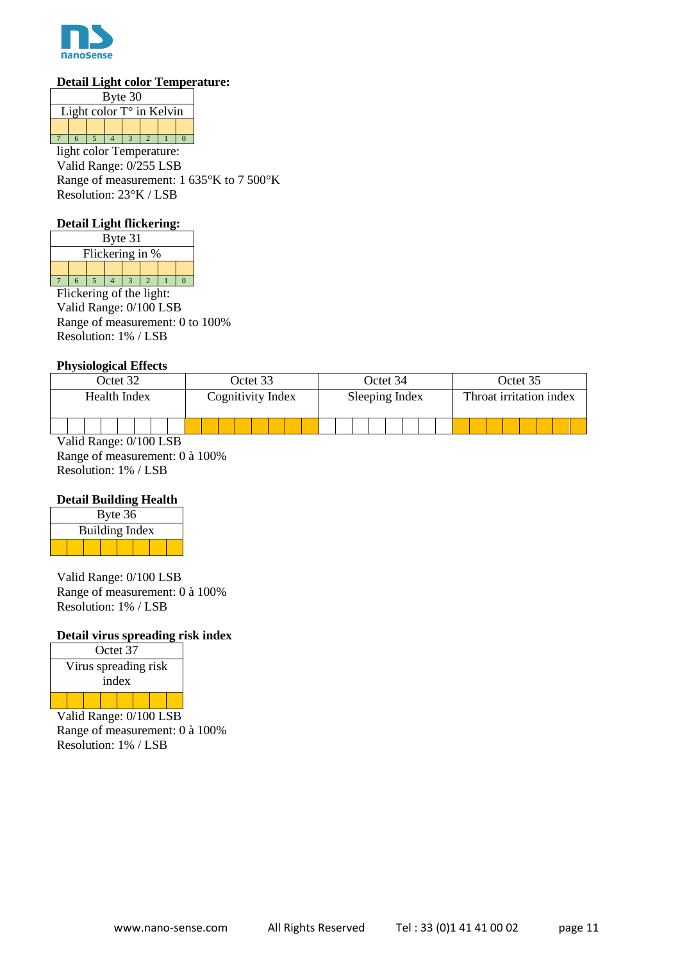

#### **Detail Light color Temperature:**

| Byte 30                           |  |  |  |  |  |  |  |  |  |
|-----------------------------------|--|--|--|--|--|--|--|--|--|
| Light color $T^{\circ}$ in Kelvin |  |  |  |  |  |  |  |  |  |
|                                   |  |  |  |  |  |  |  |  |  |
|                                   |  |  |  |  |  |  |  |  |  |
|                                   |  |  |  |  |  |  |  |  |  |

light color Temperature: Valid Range: 0/255 LSB Range of measurement: 1 635°K to 7 500°K Resolution: 23°K / LSB

#### **Detail Light flickering:**

|                 | Byte 31 |  |  |  |  |  |  |  |  |
|-----------------|---------|--|--|--|--|--|--|--|--|
| Flickering in % |         |  |  |  |  |  |  |  |  |
|                 |         |  |  |  |  |  |  |  |  |
|                 |         |  |  |  |  |  |  |  |  |

Flickering of the light: Valid Range: 0/100 LSB Range of measurement: 0 to 100% Resolution: 1% / LSB

#### **Physiological Effects**

| Octet 32     | Octet 33          | Octet 34       | Octet 35                |  |  |
|--------------|-------------------|----------------|-------------------------|--|--|
| Health Index | Cognitivity Index | Sleeping Index | Throat irritation index |  |  |
|              |                   |                |                         |  |  |

Valid Range: 0/100 LSB Range of measurement: 0 à 100% Resolution: 1% / LSB

#### **Detail Building Health**

| Byte 36               |  |  |  |  |  |  |  |  |
|-----------------------|--|--|--|--|--|--|--|--|
| <b>Building Index</b> |  |  |  |  |  |  |  |  |
|                       |  |  |  |  |  |  |  |  |

Valid Range: 0/100 LSB Range of measurement: 0 à 100% Resolution: 1% / LSB

#### **Detail virus spreading risk index**

| Octet 37             |       |  |  |  |  |  |  |  |
|----------------------|-------|--|--|--|--|--|--|--|
| Virus spreading risk |       |  |  |  |  |  |  |  |
|                      | index |  |  |  |  |  |  |  |
|                      |       |  |  |  |  |  |  |  |

Valid Range: 0/100 LSB Range of measurement: 0 à 100% Resolution: 1% / LSB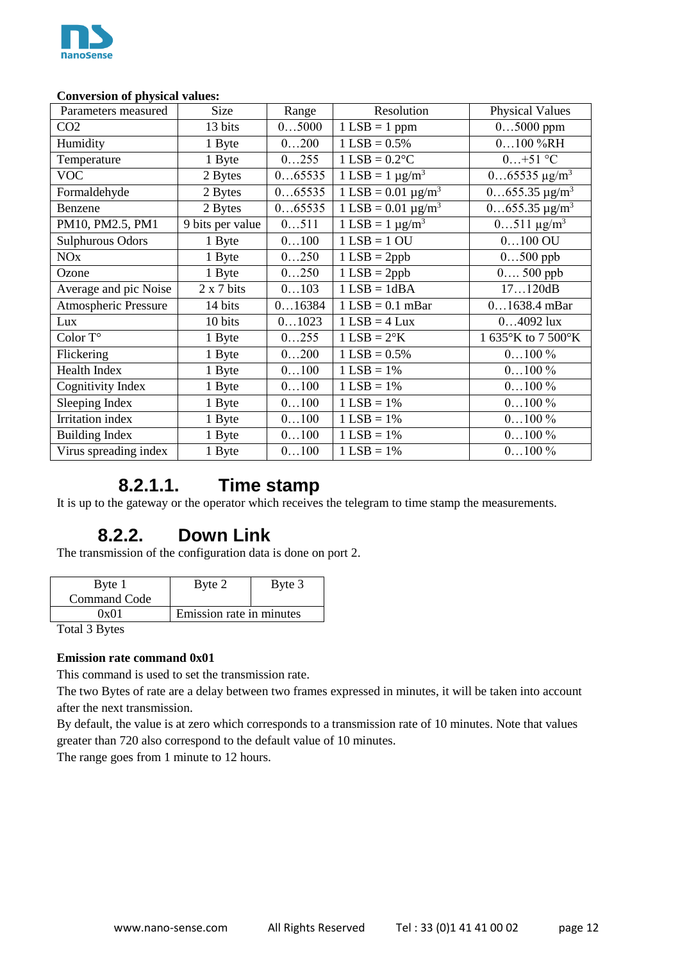

#### **Conversion of physical values:**

| Parameters measured     | Size             | Range  | Resolution                            | <b>Physical Values</b>                   |
|-------------------------|------------------|--------|---------------------------------------|------------------------------------------|
| CO <sub>2</sub>         | 13 bits          | 05000  | $1$ LSB = 1 ppm                       | $05000$ ppm                              |
| Humidity                | 1 Byte           | 0200   | $1$ LSB = $0.5\%$                     | $0100\%RH$                               |
| Temperature             | 1 Byte           | 0255   | $1$ LSB = $0.2$ <sup>o</sup> C        | $0+51$ °C                                |
| <b>VOC</b>              | 2 Bytes          | 065535 | $1$ LSB = $1 \mu g/m^3$               | $065535 \,\mathrm{\mu g/m^3}$            |
| Formaldehyde            | 2 Bytes          | 065535 | $1$ LSB = 0.01 $\mu$ g/m <sup>3</sup> | $\overline{0}$ .655.35 µg/m <sup>3</sup> |
| Benzene                 | 2 Bytes          | 065535 | $1$ LSB = 0.01 $\mu$ g/m <sup>3</sup> | $0655.35 \,\mathrm{\upmu g/m^3}$         |
| PM10, PM2.5, PM1        | 9 bits per value | 0511   | $1$ LSB = 1 $\mu$ g/m <sup>3</sup>    | $0511 \mu g/m^3$                         |
| <b>Sulphurous Odors</b> | 1 Byte           | 0100   | $1$ LSB = $1$ OU                      | $0100$ OU                                |
| <b>NO<sub>x</sub></b>   | 1 Byte           | 0250   | $1$ LSB = 2ppb                        | $0500$ ppb                               |
| Ozone                   | 1 Byte           | 0250   | $1$ LSB = 2ppb                        | $0500$ ppb                               |
| Average and pic Noise   | 2 x 7 bits       | 0103   | $1$ LSB = $1$ dBA                     | 17120dB                                  |
| Atmospheric Pressure    | 14 bits          | 016384 | $1$ LSB = 0.1 mBar                    | $01638.4$ mBar                           |
| Lux                     | 10 bits          | 01023  | $1$ LSB = 4 Lux                       | $04092$ lux                              |
| Color T°                | 1 Byte           | 0255   | $1$ LSB = $2^{\circ}K$                | 1 635°K to 7 500°K                       |
| Flickering              | 1 Byte           | 0200   | $1$ LSB = $0.5\%$                     | $0100\%$                                 |
| <b>Health Index</b>     | 1 Byte           | 0100   | $1$ LSB = 1%                          | $0100\%$                                 |
| Cognitivity Index       | 1 Byte           | 0100   | $1$ LSB = $1\%$                       | $0100\%$                                 |
| Sleeping Index          | 1 Byte           | 0100   | $1$ LSB = 1%                          | $0100\%$                                 |
| <b>Irritation</b> index | 1 Byte           | 0100   | $1$ LSB = $1\%$                       | $0100\%$                                 |
| <b>Building Index</b>   | 1 Byte           | 0100   | $1$ LSB = 1%                          | $0100\%$                                 |
| Virus spreading index   | 1 Byte           | 0100   | $1$ LSB = 1%                          | $0100\%$                                 |

### **8.2.1.1. Time stamp**

<span id="page-11-0"></span>It is up to the gateway or the operator which receives the telegram to time stamp the measurements.

### **8.2.2. Down Link**

<span id="page-11-1"></span>The transmission of the configuration data is done on port 2.

| Byte 1<br>Command Code | Byte 2                   | Byte 3 |
|------------------------|--------------------------|--------|
| 0x01                   | Emission rate in minutes |        |

Total 3 Bytes

#### **Emission rate command 0x01**

This command is used to set the transmission rate.

The two Bytes of rate are a delay between two frames expressed in minutes, it will be taken into account after the next transmission.

By default, the value is at zero which corresponds to a transmission rate of 10 minutes. Note that values greater than 720 also correspond to the default value of 10 minutes.

The range goes from 1 minute to 12 hours.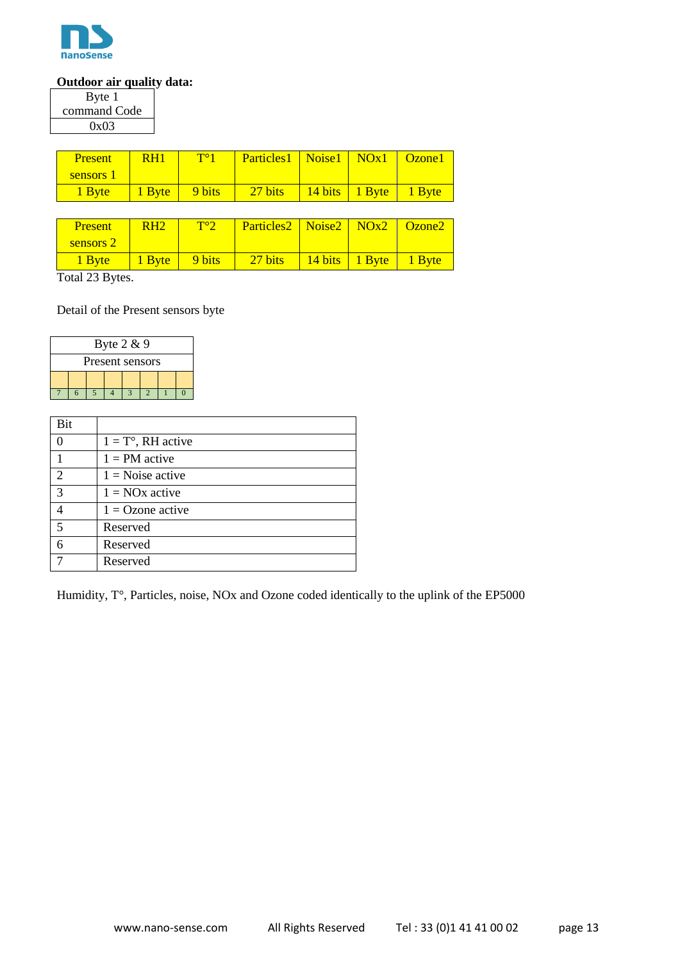

#### **Outdoor air quality data:**

| Byte 1       |  |
|--------------|--|
| command Code |  |
| 0x03         |  |

| <b>Present</b> | R <sub>H</sub> | $T^{\circ}1$   | Particles1   Noise1   NOx1   Ozone1 |                           |  |
|----------------|----------------|----------------|-------------------------------------|---------------------------|--|
| sensors 1      |                |                |                                     |                           |  |
| 1 Byte         | $\vert$ 1 Byte | $\vert$ 9 bits | $27 \text{ bits}$                   | 14 bits   1 Byte   1 Byte |  |

| <b>Present</b> | R <sub>H2</sub> | $T^{\circ}$ | Particles2   Noise2   NOx2   Ozone2 |                           |  |
|----------------|-----------------|-------------|-------------------------------------|---------------------------|--|
| sensors 2      |                 |             |                                     |                           |  |
| 1 Byte         | 1 Byte          | 9 bits      | $27 \text{ bits}$                   | 14 bits   1 Byte   1 Byte |  |

Total 23 Bytes.

Detail of the Present sensors byte

| Byte $2 & 9$    |  |  |  |  |  |  |  |  |  |
|-----------------|--|--|--|--|--|--|--|--|--|
| Present sensors |  |  |  |  |  |  |  |  |  |
|                 |  |  |  |  |  |  |  |  |  |
|                 |  |  |  |  |  |  |  |  |  |

| Bit            |                             |
|----------------|-----------------------------|
| 0              | $1 = T^{\circ}$ , RH active |
|                | $1 = PM$ active             |
| $\overline{2}$ | $1 = \text{Noise active}$   |
| 3              | $1 = NOx$ active            |
|                | $1 =$ Ozone active          |
| 5              | Reserved                    |
| 6              | Reserved                    |
|                | Reserved                    |

Humidity, T°, Particles, noise, NOx and Ozone coded identically to the uplink of the EP5000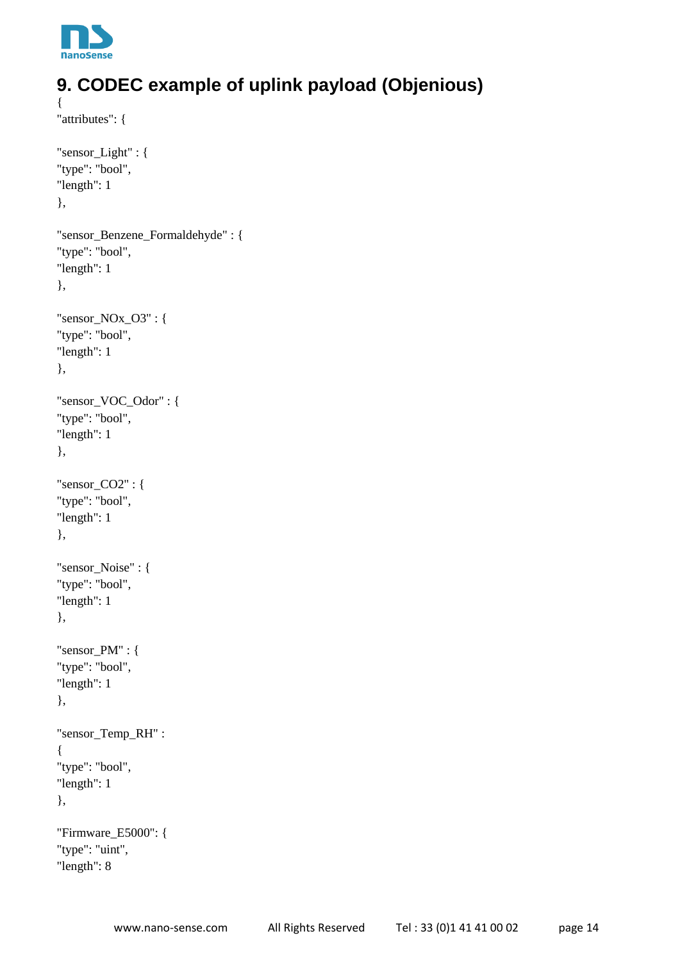

# <span id="page-13-0"></span>**9. CODEC example of uplink payload (Objenious)**

```
{
"attributes": {
```
"sensor\_Light" : {

```
"type": "bool",
"length": 1
},
"sensor_Benzene_Formaldehyde" : {
"type": "bool",
"length": 1
},
"sensor_NOx_O3" : {
"type": "bool",
"length": 1
},
"sensor_VOC_Odor" : {
"type": "bool",
"length": 1
},
"sensor_CO2" : {
"type": "bool",
"length": 1
},
"sensor_Noise" : {
"type": "bool",
"length": 1
},
"sensor_PM" : {
"type": "bool",
"length": 1
},
"sensor_Temp_RH" :
{
"type": "bool",
"length": 1
},
"Firmware_E5000": {
"type": "uint",
"length": 8
```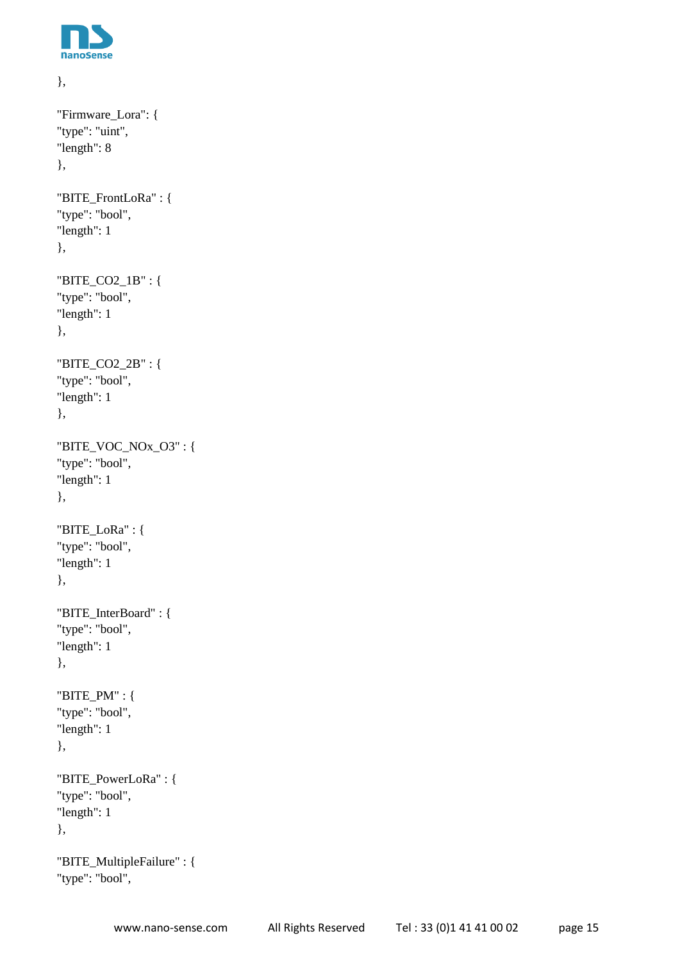

```
},
"Firmware_Lora": {
"type": "uint",
"length": 8
},
"BITE_FrontLoRa" : {
"type": "bool",
"length": 1
},
"BITE_CO2_1B" : {
"type": "bool",
"length": 1
},
"BITE_CO2_2B" : {
"type": "bool",
"length": 1
},
"BITE_VOC_NOx_O3" : {
"type": "bool",
"length": 1
},
"BITE_LoRa" : {
"type": "bool",
"length": 1
},
"BITE_InterBoard" : {
"type": "bool",
"length": 1
},
"BITE_PM" : {
"type": "bool",
"length": 1
},
"BITE_PowerLoRa" : {
"type": "bool",
"length": 1
},
"BITE_MultipleFailure" : {
```

```
"type": "bool",
```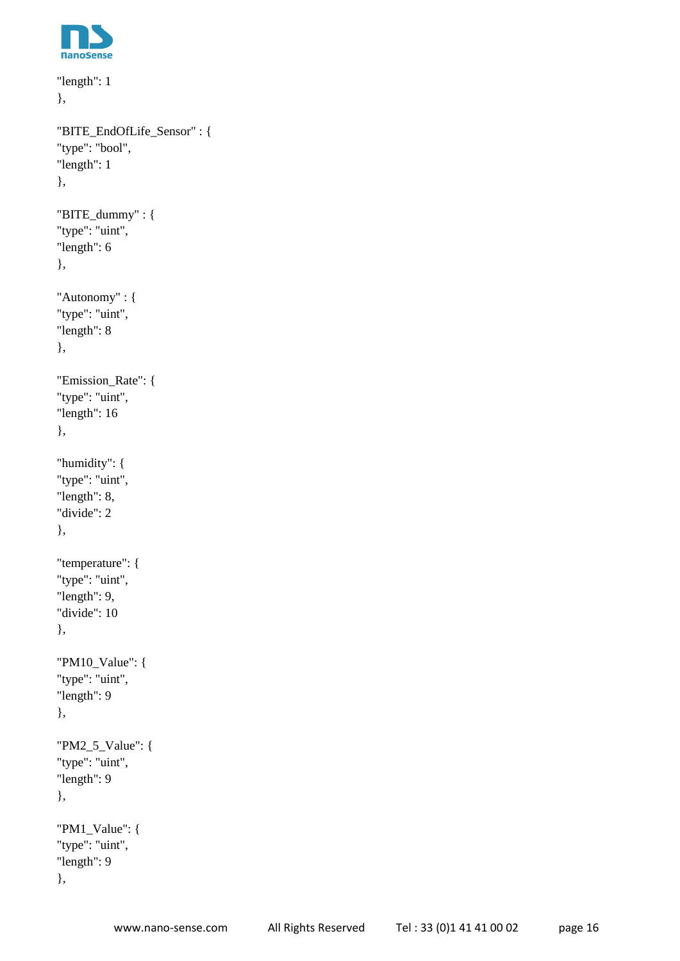

```
"length": 1
},
"BITE_EndOfLife_Sensor" : {
"type": "bool",
"length": 1
},
"BITE_dummy" : {
"type": "uint",
"length": 6
},
"Autonomy" : {
"type": "uint",
"length": 8
},
"Emission_Rate": {
"type": "uint",
"length": 16
},
"humidity": {
"type": "uint",
"length": 8,
"divide": 2
},
"temperature": {
"type": "uint",
"length": 9,
"divide": 10
},
"PM10_Value": {
"type": "uint",
"length": 9
},
"PM2_5_Value": {
"type": "uint",
"length": 9
},
"PM1_Value": {
"type": "uint",
"length": 9
},
```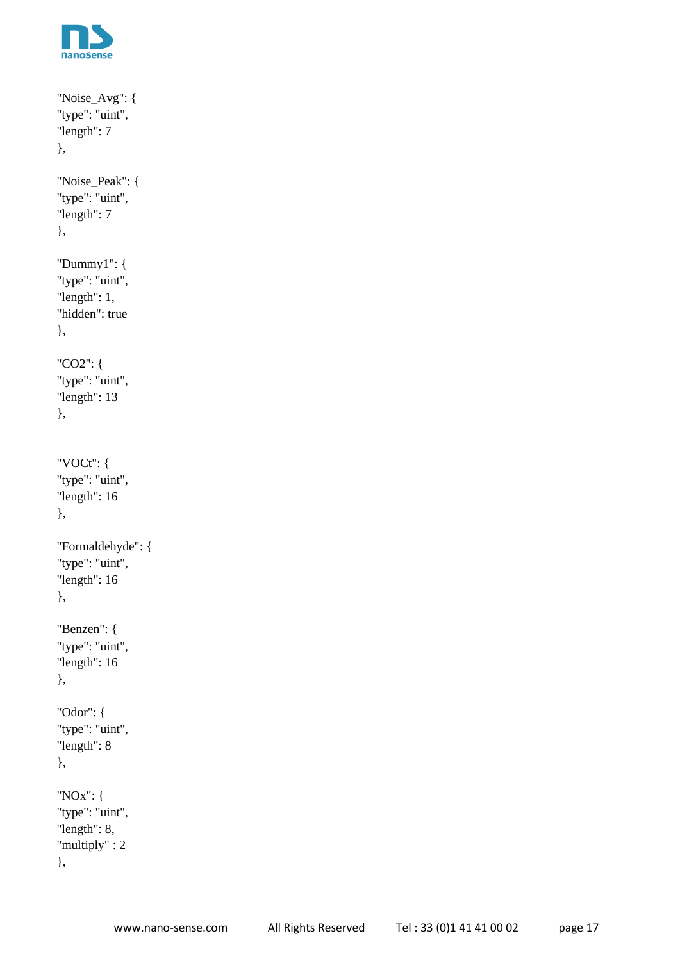

```
"Noise_Avg": {
"type": "uint",
"length": 7
},
"Noise_Peak": {
"type": "uint",
"length": 7
},
"Dummy1": {
"type": "uint",
"length": 1,
"hidden": true
},
"CO2": {
"type": "uint",
"length": 13
},
"VOCt": {
"type": "uint",
"length": 16
},
"Formaldehyde": {
"type": "uint",
"length": 16
},
"Benzen": {
"type": "uint",
"length": 16
},
"Odor": {
"type": "uint",
"length": 8
},
"NOx": {
"type": "uint",
"length": 8,
"multiply" : 2
},
```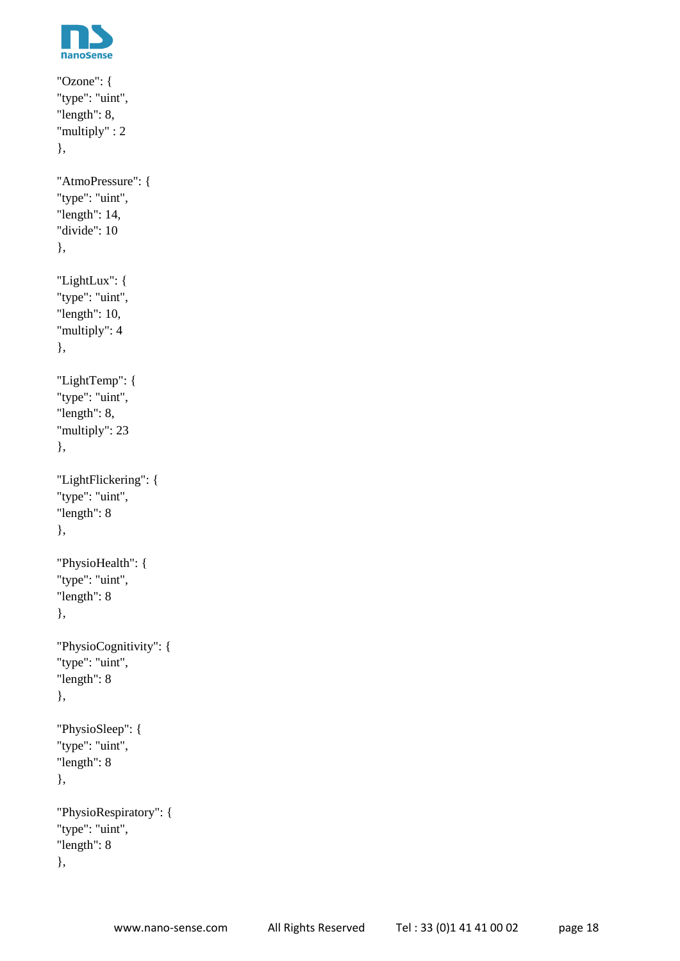

```
"Ozone": {
"type": "uint",
"length": 8,
"multiply" : 2
},
"AtmoPressure": {
"type": "uint",
"length": 14,
"divide": 10
},
"LightLux": {
"type": "uint",
"length": 10,
"multiply": 4
},
"LightTemp": {
"type": "uint",
"length": 8,
"multiply": 23
},
"LightFlickering": {
"type": "uint",
"length": 8
},
"PhysioHealth": {
"type": "uint",
"length": 8
},
"PhysioCognitivity": {
"type": "uint",
"length": 8
},
"PhysioSleep": {
"type": "uint",
"length": 8
},
"PhysioRespiratory": {
"type": "uint",
"length": 8
},
```